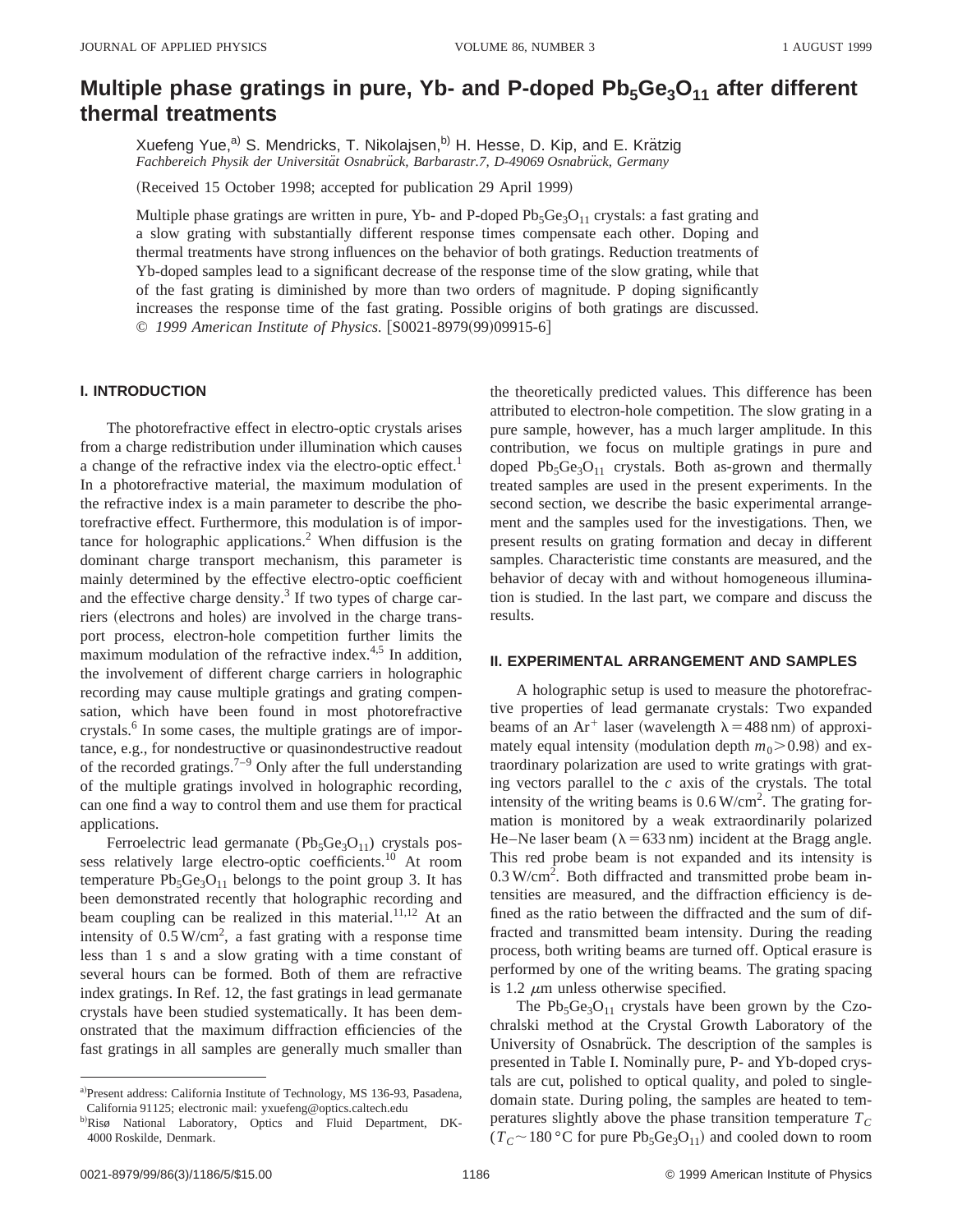# **Multiple phase gratings in pure, Yb- and P-doped Pb<sub>5</sub>Ge<sub>3</sub>O<sub>11</sub> after different thermal treatments**

Xuefeng Yue,<sup>a)</sup> S. Mendricks, T. Nikolajsen,<sup>b)</sup> H. Hesse, D. Kip, and E. Krätzig Fachbereich Physik der Universität Osnabrück, Barbarastr.7, D-49069 Osnabrück, Germany

(Received 15 October 1998; accepted for publication 29 April 1999)

Multiple phase gratings are written in pure, Yb- and P-doped  $Pb_5Ge_3O_{11}$  crystals: a fast grating and a slow grating with substantially different response times compensate each other. Doping and thermal treatments have strong influences on the behavior of both gratings. Reduction treatments of Yb-doped samples lead to a significant decrease of the response time of the slow grating, while that of the fast grating is diminished by more than two orders of magnitude. P doping significantly increases the response time of the fast grating. Possible origins of both gratings are discussed. © 1999 American Institute of Physics.  $|S0021-8979(99)09915-6|$ 

# **I. INTRODUCTION**

The photorefractive effect in electro-optic crystals arises from a charge redistribution under illumination which causes a change of the refractive index via the electro-optic effect.<sup>1</sup> In a photorefractive material, the maximum modulation of the refractive index is a main parameter to describe the photorefractive effect. Furthermore, this modulation is of importance for holographic applications.<sup>2</sup> When diffusion is the dominant charge transport mechanism, this parameter is mainly determined by the effective electro-optic coefficient and the effective charge density. $3$  If two types of charge carriers (electrons and holes) are involved in the charge transport process, electron-hole competition further limits the maximum modulation of the refractive index.<sup>4,5</sup> In addition, the involvement of different charge carriers in holographic recording may cause multiple gratings and grating compensation, which have been found in most photorefractive crystals.<sup>6</sup> In some cases, the multiple gratings are of importance, e.g., for nondestructive or quasinondestructive readout of the recorded gratings.<sup>7–9</sup> Only after the full understanding of the multiple gratings involved in holographic recording, can one find a way to control them and use them for practical applications.

Ferroelectric lead germanate  $(Pb_5Ge_3O_{11})$  crystals possess relatively large electro-optic coefficients.<sup>10</sup> At room temperature  $Pb_5Ge_3O_{11}$  belongs to the point group 3. It has been demonstrated recently that holographic recording and beam coupling can be realized in this material. $11,12$  At an intensity of  $0.5 \text{ W/cm}^2$ , a fast grating with a response time less than 1 s and a slow grating with a time constant of several hours can be formed. Both of them are refractive index gratings. In Ref. 12, the fast gratings in lead germanate crystals have been studied systematically. It has been demonstrated that the maximum diffraction efficiencies of the fast gratings in all samples are generally much smaller than the theoretically predicted values. This difference has been attributed to electron-hole competition. The slow grating in a pure sample, however, has a much larger amplitude. In this contribution, we focus on multiple gratings in pure and doped  $Pb_5Ge_3O_{11}$  crystals. Both as-grown and thermally treated samples are used in the present experiments. In the second section, we describe the basic experimental arrangement and the samples used for the investigations. Then, we present results on grating formation and decay in different samples. Characteristic time constants are measured, and the behavior of decay with and without homogeneous illumination is studied. In the last part, we compare and discuss the results.

#### **II. EXPERIMENTAL ARRANGEMENT AND SAMPLES**

A holographic setup is used to measure the photorefractive properties of lead germanate crystals: Two expanded beams of an Ar<sup>+</sup> laser (wavelength  $\lambda$  = 488 nm) of approximately equal intensity (modulation depth  $m_0$  > 0.98) and extraordinary polarization are used to write gratings with grating vectors parallel to the *c* axis of the crystals. The total intensity of the writing beams is  $0.6 \text{ W/cm}^2$ . The grating formation is monitored by a weak extraordinarily polarized He–Ne laser beam ( $\lambda$  = 633 nm) incident at the Bragg angle. This red probe beam is not expanded and its intensity is 0.3 W/cm<sup>2</sup>. Both diffracted and transmitted probe beam intensities are measured, and the diffraction efficiency is defined as the ratio between the diffracted and the sum of diffracted and transmitted beam intensity. During the reading process, both writing beams are turned off. Optical erasure is performed by one of the writing beams. The grating spacing is 1.2  $\mu$ m unless otherwise specified.

The  $Pb_5Ge_3O_{11}$  crystals have been grown by the Czochralski method at the Crystal Growth Laboratory of the University of Osnabrück. The description of the samples is presented in Table I. Nominally pure, P- and Yb-doped crystals are cut, polished to optical quality, and poled to singledomain state. During poling, the samples are heated to temperatures slightly above the phase transition temperature  $T_C$  $(T_C \sim 180 \degree C$  for pure Pb<sub>5</sub>Ge<sub>3</sub>O<sub>11</sub>) and cooled down to room

a)Present address: California Institute of Technology, MS 136-93, Pasadena, California 91125; electronic mail: yxuefeng@optics.caltech.edu

b)Risø National Laboratory, Optics and Fluid Department, DK-4000 Roskilde, Denmark.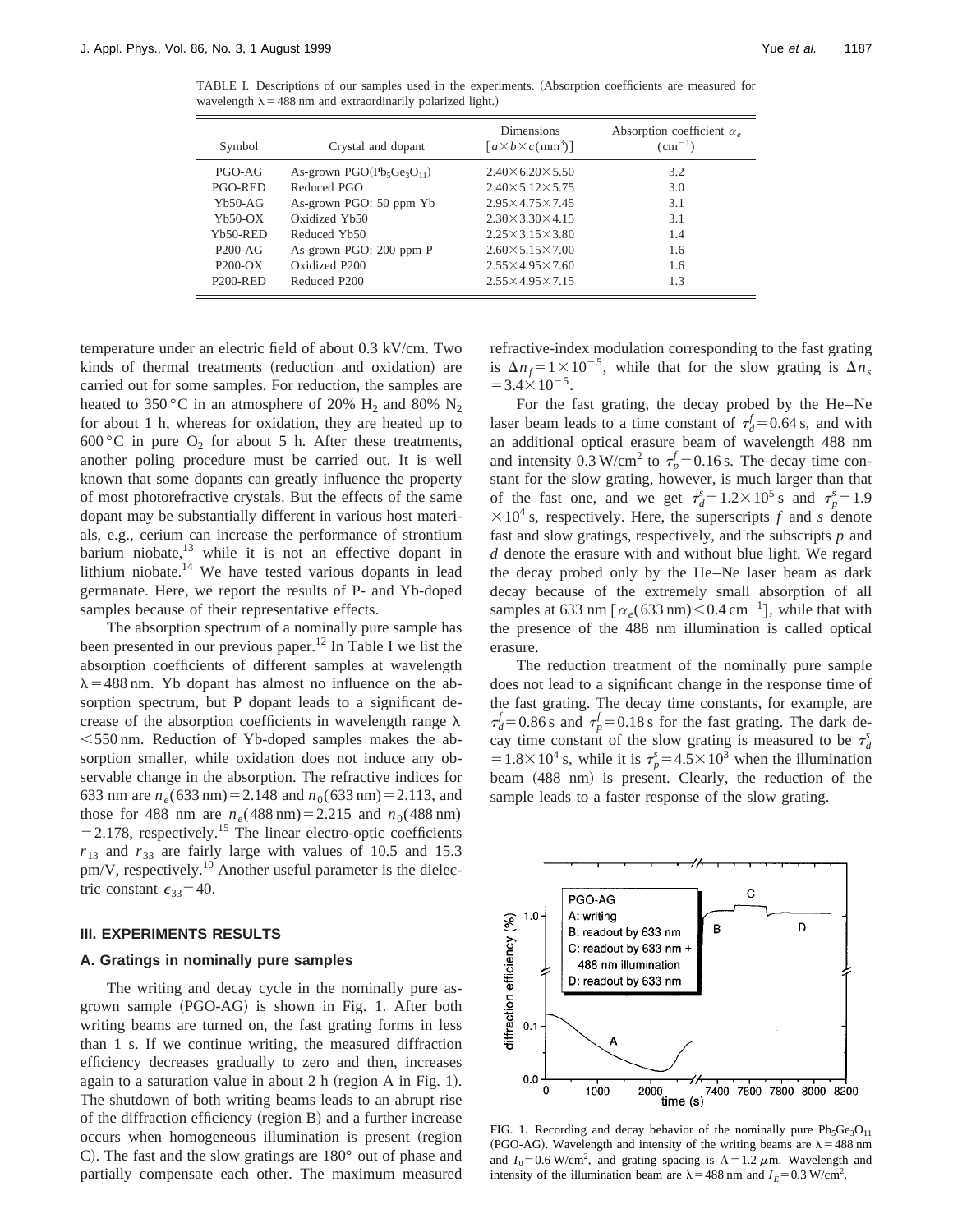TABLE I. Descriptions of our samples used in the experiments. (Absorption coefficients are measured for wavelength  $\lambda$  = 488 nm and extraordinarily polarized light.)

| Symbol     | Crystal and dopant             | <b>Dimensions</b><br>$\lceil a \times b \times c \cdot (mm^3) \rceil$ | Absorption coefficient $\alpha_e$<br>$\rm (cm^{-1})$ |
|------------|--------------------------------|-----------------------------------------------------------------------|------------------------------------------------------|
| PGO-AG     | As-grown $PGO(Pb_5Ge_3O_{11})$ | $2.40\times 6.20\times 5.50$                                          | 3.2                                                  |
| PGO-RED    | Reduced PGO                    | $2.40 \times 5.12 \times 5.75$                                        | 3.0                                                  |
| $Yb50-AG$  | As-grown PGO: 50 ppm Yb        | $2.95 \times 4.75 \times 7.45$                                        | 3.1                                                  |
| $Yb50-OX$  | Oxidized Yb50                  | $2.30 \times 3.30 \times 4.15$                                        | 3.1                                                  |
| $Yb50-RED$ | Reduced Yb50                   | $2.25 \times 3.15 \times 3.80$                                        | 1.4                                                  |
| $P200-AG$  | As-grown PGO: 200 ppm P        | $2.60 \times 5.15 \times 7.00$                                        | 1.6                                                  |
| $P200-OX$  | Oxidized P200                  | $2.55 \times 4.95 \times 7.60$                                        | 1.6                                                  |
| $P200-RED$ | Reduced P200                   | $2.55 \times 4.95 \times 7.15$                                        | 1.3                                                  |

temperature under an electric field of about 0.3 kV/cm. Two kinds of thermal treatments (reduction and oxidation) are carried out for some samples. For reduction, the samples are heated to 350 °C in an atmosphere of 20% H<sub>2</sub> and 80% N<sub>2</sub> for about 1 h, whereas for oxidation, they are heated up to 600 °C in pure  $O_2$  for about 5 h. After these treatments, another poling procedure must be carried out. It is well known that some dopants can greatly influence the property of most photorefractive crystals. But the effects of the same dopant may be substantially different in various host materials, e.g., cerium can increase the performance of strontium barium niobate, $13$  while it is not an effective dopant in lithium niobate.<sup>14</sup> We have tested various dopants in lead germanate. Here, we report the results of P- and Yb-doped samples because of their representative effects.

The absorption spectrum of a nominally pure sample has been presented in our previous paper.<sup>12</sup> In Table I we list the absorption coefficients of different samples at wavelength  $\lambda$  = 488 nm. Yb dopant has almost no influence on the absorption spectrum, but P dopant leads to a significant decrease of the absorption coefficients in wavelength range  $\lambda$  $<$  550 nm. Reduction of Yb-doped samples makes the absorption smaller, while oxidation does not induce any observable change in the absorption. The refractive indices for 633 nm are  $n_e(633 \text{ nm}) = 2.148$  and  $n_0(633 \text{ nm}) = 2.113$ , and those for 488 nm are  $n_e$ (488 nm) = 2.215 and  $n_0$ (488 nm)  $=$  2.178, respectively.<sup>15</sup> The linear electro-optic coefficients  $r_{13}$  and  $r_{33}$  are fairly large with values of 10.5 and 15.3 pm/V, respectively.<sup>10</sup> Another useful parameter is the dielectric constant  $\epsilon_{33}$ =40.

#### **III. EXPERIMENTS RESULTS**

## **A. Gratings in nominally pure samples**

The writing and decay cycle in the nominally pure asgrown sample (PGO-AG) is shown in Fig. 1. After both writing beams are turned on, the fast grating forms in less than 1 s. If we continue writing, the measured diffraction efficiency decreases gradually to zero and then, increases again to a saturation value in about  $2 h$  (region A in Fig. 1). The shutdown of both writing beams leads to an abrupt rise of the diffraction efficiency (region B) and a further increase occurs when homogeneous illumination is present (region C). The fast and the slow gratings are 180° out of phase and partially compensate each other. The maximum measured refractive-index modulation corresponding to the fast grating is  $\Delta n_f = 1 \times 10^{-5}$ , while that for the slow grating is  $\Delta n_s$  $=3.4\times10^{-5}$ .

For the fast grating, the decay probed by the He–Ne laser beam leads to a time constant of  $\tau_d^f = 0.64$  s, and with an additional optical erasure beam of wavelength 488 nm and intensity 0.3 W/cm<sup>2</sup> to  $\tau_p^f$  = 0.16 s. The decay time constant for the slow grating, however, is much larger than that of the fast one, and we get  $\tau_d^s = 1.2 \times 10^5$  s and  $\tau_p^s = 1.9$  $\times 10^4$  s, respectively. Here, the superscripts *f* and *s* denote fast and slow gratings, respectively, and the subscripts *p* and *d* denote the erasure with and without blue light. We regard the decay probed only by the He–Ne laser beam as dark decay because of the extremely small absorption of all samples at 633 nm  $\left[\alpha_e(633 \text{ nm})\leq 0.4 \text{ cm}^{-1}\right]$ , while that with the presence of the 488 nm illumination is called optical erasure.

The reduction treatment of the nominally pure sample does not lead to a significant change in the response time of the fast grating. The decay time constants, for example, are  $\tau_d^f = 0.86$  s and  $\tau_p^f = 0.18$  s for the fast grating. The dark decay time constant of the slow grating is measured to be  $\tau_d^s$  $=1.8\times10^4$  s, while it is  $\tau_p^s = 4.5\times10^3$  when the illumination beam (488 nm) is present. Clearly, the reduction of the sample leads to a faster response of the slow grating.



FIG. 1. Recording and decay behavior of the nominally pure  $Pb_5Ge_3O_{11}$ (PGO-AG). Wavelength and intensity of the writing beams are  $\lambda = 488$  nm and  $I_0$ =0.6 W/cm<sup>2</sup>, and grating spacing is  $\Lambda$ =1.2  $\mu$ m. Wavelength and intensity of the illumination beam are  $\lambda = 488$  nm and  $I_E = 0.3$  W/cm<sup>2</sup>.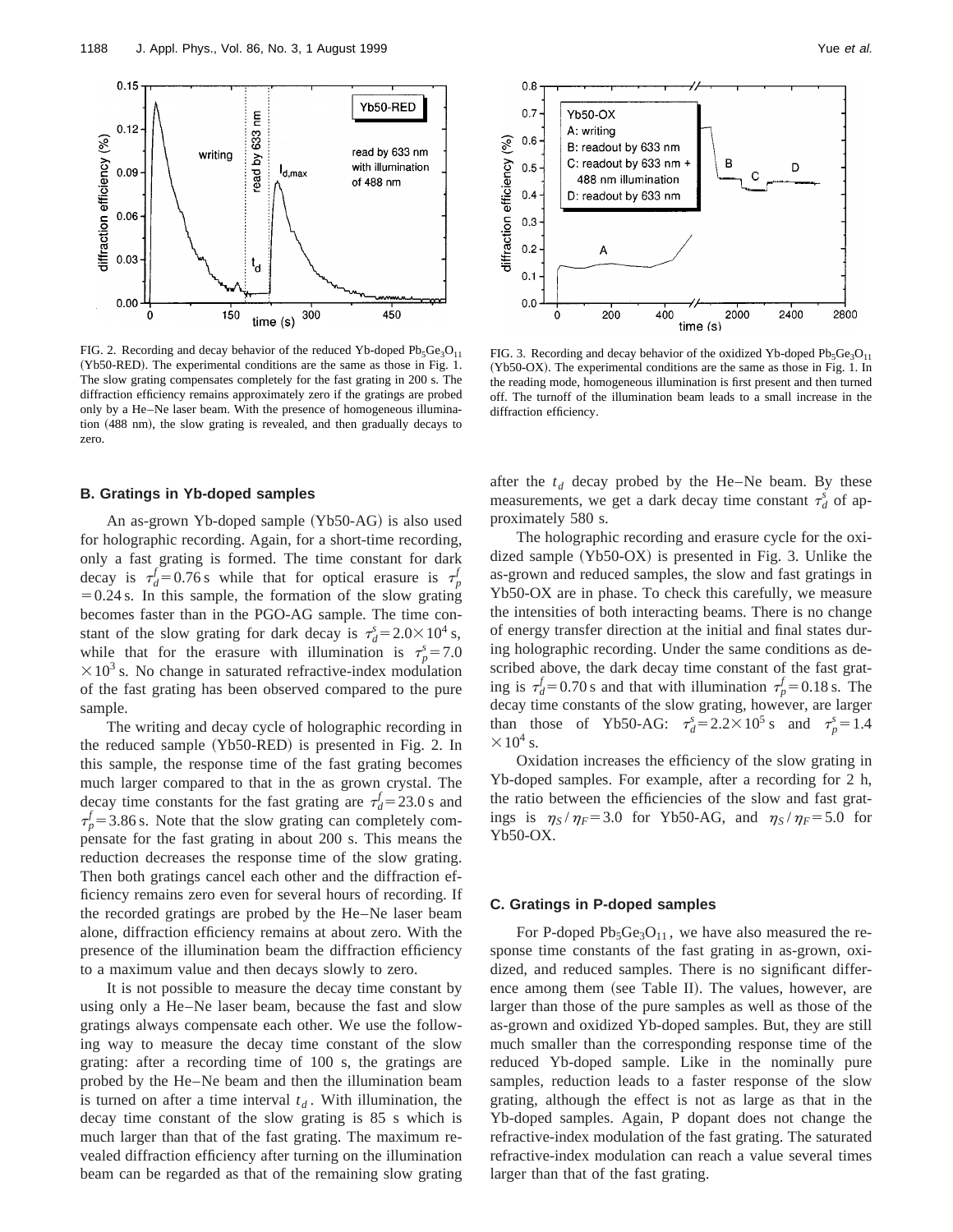

FIG. 2. Recording and decay behavior of the reduced Yb-doped  $Pb_5Ge_3O_{11}$ (Yb50-RED). The experimental conditions are the same as those in Fig. 1. The slow grating compensates completely for the fast grating in 200 s. The diffraction efficiency remains approximately zero if the gratings are probed only by a He–Ne laser beam. With the presence of homogeneous illumination (488 nm), the slow grating is revealed, and then gradually decays to zero.

# **B. Gratings in Yb-doped samples**

An as-grown Yb-doped sample  $(Yb50-AG)$  is also used for holographic recording. Again, for a short-time recording, only a fast grating is formed. The time constant for dark decay is  $\tau_d^f = 0.76$  s while that for optical erasure is  $\tau_p^f$  $=0.24$  s. In this sample, the formation of the slow grating becomes faster than in the PGO-AG sample. The time constant of the slow grating for dark decay is  $\tau_d^s = 2.0 \times 10^4$  s, while that for the erasure with illumination is  $\tau_p^s = 7.0$  $\times$ 10<sup>3</sup> s. No change in saturated refractive-index modulation of the fast grating has been observed compared to the pure sample.

The writing and decay cycle of holographic recording in the reduced sample  $(Yb50-RED)$  is presented in Fig. 2. In this sample, the response time of the fast grating becomes much larger compared to that in the as grown crystal. The decay time constants for the fast grating are  $\tau_d^f = 23.0 \text{ s}$  and  $\tau_p^f$  = 3.86 s. Note that the slow grating can completely compensate for the fast grating in about 200 s. This means the reduction decreases the response time of the slow grating. Then both gratings cancel each other and the diffraction efficiency remains zero even for several hours of recording. If the recorded gratings are probed by the He–Ne laser beam alone, diffraction efficiency remains at about zero. With the presence of the illumination beam the diffraction efficiency to a maximum value and then decays slowly to zero.

It is not possible to measure the decay time constant by using only a He–Ne laser beam, because the fast and slow gratings always compensate each other. We use the following way to measure the decay time constant of the slow grating: after a recording time of 100 s, the gratings are probed by the He–Ne beam and then the illumination beam is turned on after a time interval  $t_d$ . With illumination, the decay time constant of the slow grating is 85 s which is much larger than that of the fast grating. The maximum revealed diffraction efficiency after turning on the illumination beam can be regarded as that of the remaining slow grating



FIG. 3. Recording and decay behavior of the oxidized Yb-doped  $Pb_5Ge_3O_{11}$ (Yb50-OX). The experimental conditions are the same as those in Fig. 1. In the reading mode, homogeneous illumination is first present and then turned off. The turnoff of the illumination beam leads to a small increase in the diffraction efficiency.

after the  $t_d$  decay probed by the He–Ne beam. By these measurements, we get a dark decay time constant  $\tau_d^s$  of approximately 580 s.

The holographic recording and erasure cycle for the oxidized sample  $(Yb50-OX)$  is presented in Fig. 3. Unlike the as-grown and reduced samples, the slow and fast gratings in Yb50-OX are in phase. To check this carefully, we measure the intensities of both interacting beams. There is no change of energy transfer direction at the initial and final states during holographic recording. Under the same conditions as described above, the dark decay time constant of the fast grating is  $\tau_d^f = 0.70$  s and that with illumination  $\tau_p^f = 0.18$  s. The decay time constants of the slow grating, however, are larger than those of Yb50-AG:  $\tau_d^s = 2.2 \times 10^5$  s and  $\tau_p^s = 1.4$  $\times 10^4$  s.

Oxidation increases the efficiency of the slow grating in Yb-doped samples. For example, after a recording for 2 h, the ratio between the efficiencies of the slow and fast gratings is  $\eta_S / \eta_F = 3.0$  for Yb50-AG, and  $\eta_S / \eta_F = 5.0$  for Yb50-OX.

## **C. Gratings in P-doped samples**

For P-doped  $Pb_5Ge_3O_{11}$ , we have also measured the response time constants of the fast grating in as-grown, oxidized, and reduced samples. There is no significant difference among them (see Table II). The values, however, are larger than those of the pure samples as well as those of the as-grown and oxidized Yb-doped samples. But, they are still much smaller than the corresponding response time of the reduced Yb-doped sample. Like in the nominally pure samples, reduction leads to a faster response of the slow grating, although the effect is not as large as that in the Yb-doped samples. Again, P dopant does not change the refractive-index modulation of the fast grating. The saturated refractive-index modulation can reach a value several times larger than that of the fast grating.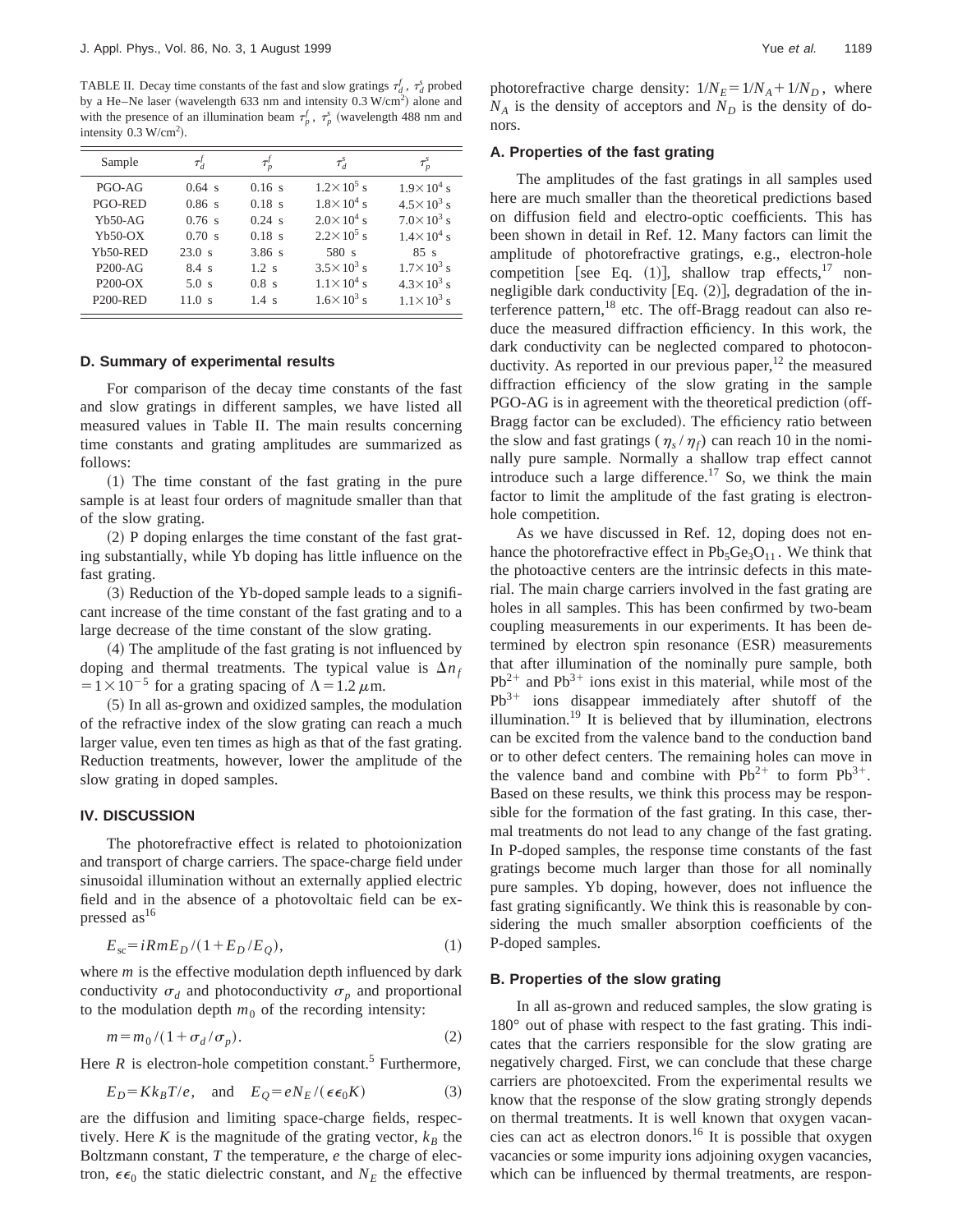TABLE II. Decay time constants of the fast and slow gratings  $\tau_d^f$ ,  $\tau_d^s$  probed by a He–Ne laser (wavelength 633 nm and intensity  $0.3$  W/cm<sup>2</sup>) alone and with the presence of an illumination beam  $\tau_p^f$ ,  $\tau_p^s$  (wavelength 488 nm and intensity  $0.3 \text{ W/cm}^2$ ).

| Sample          | $\tau'_{\scriptscriptstyle{A}}$ |                 | $\tau^s_{\scriptscriptstyle{A}}$ | $\tau_p^s$          |
|-----------------|---------------------------------|-----------------|----------------------------------|---------------------|
| $PGO-AG$        | $0.64$ s                        | 0.16 s          | $1.2 \times 10^5$ s              | $1.9 \times 10^4$ s |
| PGO-RED         | 0.86 s                          | $0.18$ s        | $1.8 \times 10^4$ s              | $4.5 \times 10^3$ s |
| $Yb50-AG$       | 0.76 s                          | $0.24$ s        | $2.0\times10^{4}$ s              | $7.0 \times 10^3$ s |
| $Yb50-OX$       | 0.70 s                          | $0.18$ s        | $2.2 \times 10^5$ s              | $1.4 \times 10^4$ s |
| Yb50-RED        | 23.0 s                          | 3.86 s          | 580 s                            | $85 \text{ s}$      |
| $P200-AG$       | $8.4 \text{ s}$                 | 1.2 s           | $3.5 \times 10^3$ s              | $1.7 \times 10^3$ s |
| $P200-OX$       | 5.0 s                           | $0.8 \text{ s}$ | $1.1 \times 10^4$ s              | $4.3 \times 10^3$ s |
| <b>P200-RED</b> | 11.0 s                          | $1.4 \text{ s}$ | $1.6 \times 10^3$ s              | $1.1 \times 10^3$ s |

## **D. Summary of experimental results**

For comparison of the decay time constants of the fast and slow gratings in different samples, we have listed all measured values in Table II. The main results concerning time constants and grating amplitudes are summarized as follows:

 $(1)$  The time constant of the fast grating in the pure sample is at least four orders of magnitude smaller than that of the slow grating.

 $(2)$  P doping enlarges the time constant of the fast grating substantially, while Yb doping has little influence on the fast grating.

 $(3)$  Reduction of the Yb-doped sample leads to a significant increase of the time constant of the fast grating and to a large decrease of the time constant of the slow grating.

 $(4)$  The amplitude of the fast grating is not influenced by doping and thermal treatments. The typical value is  $\Delta n_f$  $=1\times10^{-5}$  for a grating spacing of  $\Lambda=1.2 \mu$ m.

 $(5)$  In all as-grown and oxidized samples, the modulation of the refractive index of the slow grating can reach a much larger value, even ten times as high as that of the fast grating. Reduction treatments, however, lower the amplitude of the slow grating in doped samples.

## **IV. DISCUSSION**

The photorefractive effect is related to photoionization and transport of charge carriers. The space-charge field under sinusoidal illumination without an externally applied electric field and in the absence of a photovoltaic field can be expressed as  $16$ 

$$
E_{\rm sc} = iRmE_D/(1 + E_D/E_Q),\tag{1}
$$

where *m* is the effective modulation depth influenced by dark conductivity  $\sigma_d$  and photoconductivity  $\sigma_p$  and proportional to the modulation depth  $m_0$  of the recording intensity:

$$
m = m_0 / (1 + \sigma_d / \sigma_p). \tag{2}
$$

Here  $R$  is electron-hole competition constant.<sup>5</sup> Furthermore,

$$
E_D = K k_B T / e, \quad \text{and} \quad E_Q = e N_E / (\epsilon \epsilon_0 K) \tag{3}
$$

are the diffusion and limiting space-charge fields, respectively. Here  $K$  is the magnitude of the grating vector,  $k_B$  the Boltzmann constant, *T* the temperature, *e* the charge of electron,  $\epsilon \epsilon_0$  the static dielectric constant, and  $N_E$  the effective photorefractive charge density:  $1/N_E = 1/N_A + 1/N_D$ , where  $N_A$  is the density of acceptors and  $N_D$  is the density of donors.

# **A. Properties of the fast grating**

The amplitudes of the fast gratings in all samples used here are much smaller than the theoretical predictions based on diffusion field and electro-optic coefficients. This has been shown in detail in Ref. 12. Many factors can limit the amplitude of photorefractive gratings, e.g., electron-hole competition [see Eq.  $(1)$ ], shallow trap effects,<sup>17</sup> nonnegligible dark conductivity  $[Eq. (2)]$ , degradation of the interference pattern,  $^{18}$  etc. The off-Bragg readout can also reduce the measured diffraction efficiency. In this work, the dark conductivity can be neglected compared to photoconductivity. As reported in our previous paper, $12$  the measured diffraction efficiency of the slow grating in the sample PGO-AG is in agreement with the theoretical prediction (off-Bragg factor can be excluded). The efficiency ratio between the slow and fast gratings ( $\eta_s / \eta_f$ ) can reach 10 in the nominally pure sample. Normally a shallow trap effect cannot introduce such a large difference.<sup>17</sup> So, we think the main factor to limit the amplitude of the fast grating is electronhole competition.

As we have discussed in Ref. 12, doping does not enhance the photorefractive effect in  $Pb_5Ge_3O_{11}$ . We think that the photoactive centers are the intrinsic defects in this material. The main charge carriers involved in the fast grating are holes in all samples. This has been confirmed by two-beam coupling measurements in our experiments. It has been determined by electron spin resonance (ESR) measurements that after illumination of the nominally pure sample, both  $Pb^{2+}$  and  $Pb^{3+}$  ions exist in this material, while most of the  $Pb^{3+}$  ions disappear immediately after shutoff of the illumination.<sup>19</sup> It is believed that by illumination, electrons can be excited from the valence band to the conduction band or to other defect centers. The remaining holes can move in the valence band and combine with  $Pb^{2+}$  to form  $Pb^{3+}$ . Based on these results, we think this process may be responsible for the formation of the fast grating. In this case, thermal treatments do not lead to any change of the fast grating. In P-doped samples, the response time constants of the fast gratings become much larger than those for all nominally pure samples. Yb doping, however, does not influence the fast grating significantly. We think this is reasonable by considering the much smaller absorption coefficients of the P-doped samples.

#### **B. Properties of the slow grating**

In all as-grown and reduced samples, the slow grating is 180° out of phase with respect to the fast grating. This indicates that the carriers responsible for the slow grating are negatively charged. First, we can conclude that these charge carriers are photoexcited. From the experimental results we know that the response of the slow grating strongly depends on thermal treatments. It is well known that oxygen vacancies can act as electron donors.<sup>16</sup> It is possible that oxygen vacancies or some impurity ions adjoining oxygen vacancies, which can be influenced by thermal treatments, are respon